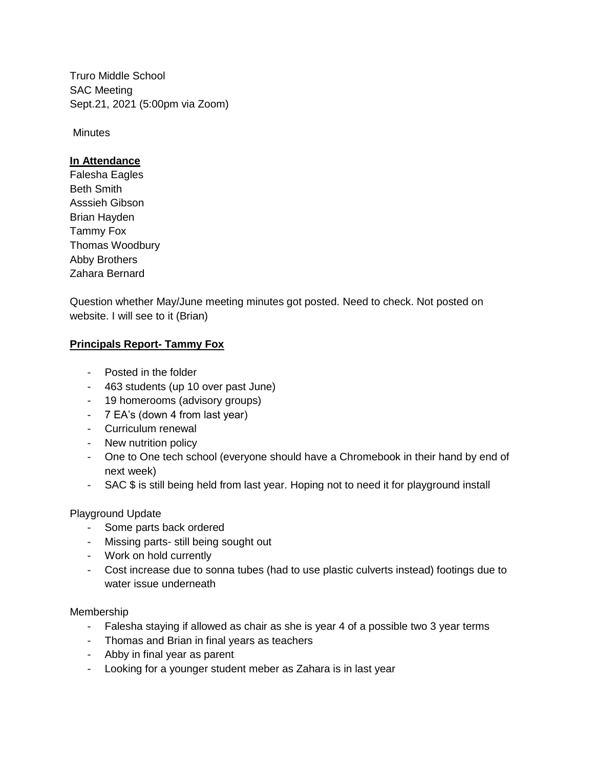Truro Middle School SAC Meeting Sept.21, 2021 (5:00pm via Zoom)

**Minutes** 

## **In Attendance**

Falesha Eagles Beth Smith Asssieh Gibson Brian Hayden Tammy Fox Thomas Woodbury Abby Brothers Zahara Bernard

Question whether May/June meeting minutes got posted. Need to check. Not posted on website. I will see to it (Brian)

## **Principals Report- Tammy Fox**

- Posted in the folder
- 463 students (up 10 over past June)
- 19 homerooms (advisory groups)
- 7 EA's (down 4 from last year)
- Curriculum renewal
- New nutrition policy
- One to One tech school (everyone should have a Chromebook in their hand by end of next week)
- SAC \$ is still being held from last year. Hoping not to need it for playground install

Playground Update

- Some parts back ordered
- Missing parts- still being sought out
- Work on hold currently
- Cost increase due to sonna tubes (had to use plastic culverts instead) footings due to water issue underneath

Membership

- Falesha staying if allowed as chair as she is year 4 of a possible two 3 year terms
- Thomas and Brian in final years as teachers
- Abby in final year as parent
- Looking for a younger student meber as Zahara is in last year